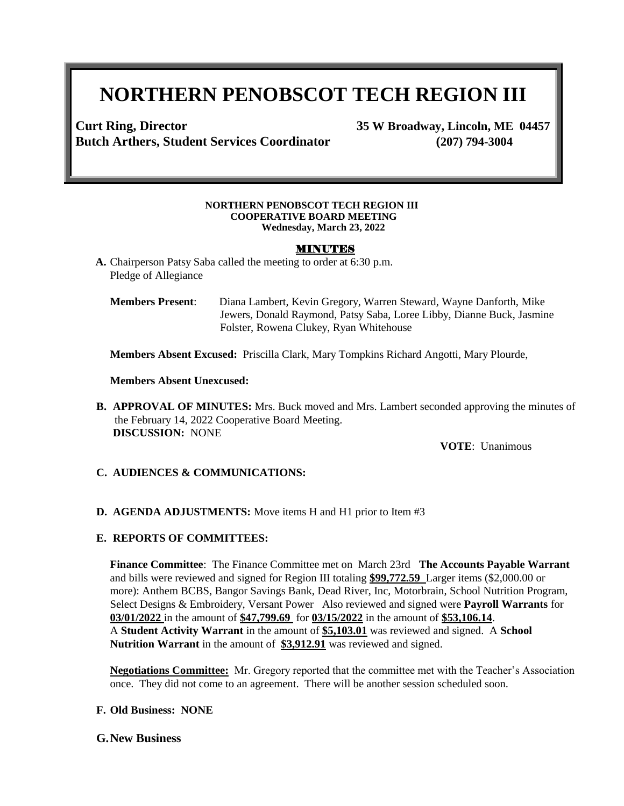# **NORTHERN PENOBSCOT TECH REGION III**

**Curt Ring, Director 35 W Broadway, Lincoln, ME 04457 Butch Arthers, Student Services Coordinator (207) 794-3004**

#### **NORTHERN PENOBSCOT TECH REGION III COOPERATIVE BOARD MEETING Wednesday, March 23, 2022**

### MINUTES

**A.** Chairperson Patsy Saba called the meeting to order at 6:30 p.m. Pledge of Allegiance

**Members Present**: Diana Lambert, Kevin Gregory, Warren Steward, Wayne Danforth, Mike Jewers, Donald Raymond, Patsy Saba, Loree Libby, Dianne Buck, Jasmine Folster, Rowena Clukey, Ryan Whitehouse

**Members Absent Excused:** Priscilla Clark, Mary Tompkins Richard Angotti, Mary Plourde,

**Members Absent Unexcused:**

**B. APPROVAL OF MINUTES:** Mrs. Buck moved and Mrs. Lambert seconded approving the minutes of the February 14, 2022 Cooperative Board Meeting. **DISCUSSION:** NONE

**VOTE**: Unanimous

- **C. AUDIENCES & COMMUNICATIONS:**
- **D. AGENDA ADJUSTMENTS:** Move items H and H1 prior to Item #3

#### **E. REPORTS OF COMMITTEES:**

**Finance Committee**: The Finance Committee met on March 23rd **The Accounts Payable Warrant** and bills were reviewed and signed for Region III totaling **\$99,772.59** Larger items (\$2,000.00 or more): Anthem BCBS, Bangor Savings Bank, Dead River, Inc, Motorbrain, School Nutrition Program, Select Designs & Embroidery, Versant Power Also reviewed and signed were **Payroll Warrants** for **03/01/2022** in the amount of **\$47,799.69** for **03/15/2022** in the amount of **\$53,106.14**. A **Student Activity Warrant** in the amount of **\$5,103.01** was reviewed and signed. A **School Nutrition Warrant** in the amount of **\$3,912.91** was reviewed and signed.

**Negotiations Committee:** Mr. Gregory reported that the committee met with the Teacher's Association once. They did not come to an agreement. There will be another session scheduled soon.

#### **F. Old Business: NONE**

#### **G.New Business**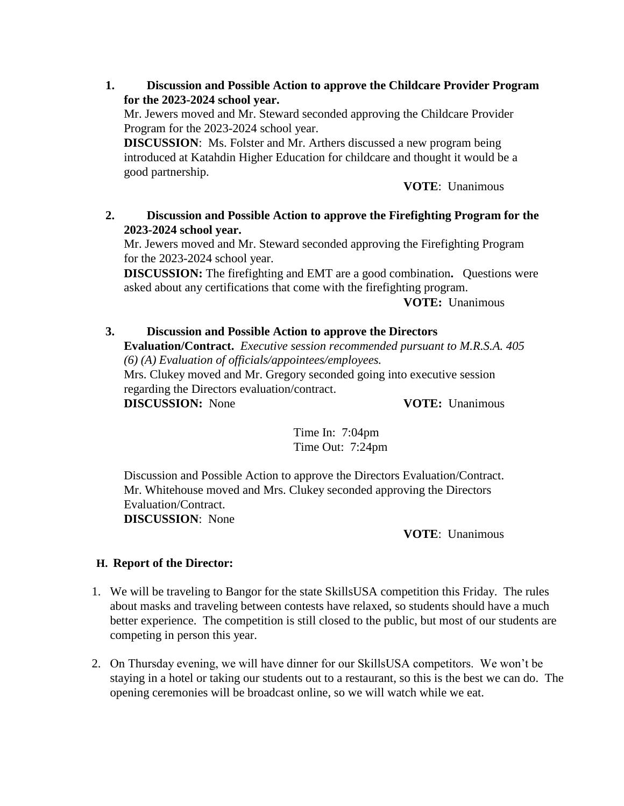**1. Discussion and Possible Action to approve the Childcare Provider Program for the 2023-2024 school year.** 

Mr. Jewers moved and Mr. Steward seconded approving the Childcare Provider Program for the 2023-2024 school year.

**DISCUSSION**: Ms. Folster and Mr. Arthers discussed a new program being introduced at Katahdin Higher Education for childcare and thought it would be a good partnership.

**VOTE**: Unanimous

## **2. Discussion and Possible Action to approve the Firefighting Program for the 2023-2024 school year.**

Mr. Jewers moved and Mr. Steward seconded approving the Firefighting Program for the 2023-2024 school year.

**DISCUSSION:** The firefighting and EMT are a good combination**.** Questions were asked about any certifications that come with the firefighting program.

**VOTE:** Unanimous

## **3. Discussion and Possible Action to approve the Directors**

**Evaluation/Contract.** *Executive session recommended pursuant to M.R.S.A. 405 (6) (A) Evaluation of officials/appointees/employees.*

Mrs. Clukey moved and Mr. Gregory seconded going into executive session regarding the Directors evaluation/contract.

**DISCUSSION:** None **VOTE:** Unanimous

Time In: 7:04pm Time Out: 7:24pm

Discussion and Possible Action to approve the Directors Evaluation/Contract. Mr. Whitehouse moved and Mrs. Clukey seconded approving the Directors Evaluation/Contract.

**DISCUSSION**: None

**VOTE**: Unanimous

## **H. Report of the Director:**

- 1. We will be traveling to Bangor for the state SkillsUSA competition this Friday. The rules about masks and traveling between contests have relaxed, so students should have a much better experience. The competition is still closed to the public, but most of our students are competing in person this year.
- 2. On Thursday evening, we will have dinner for our SkillsUSA competitors. We won't be staying in a hotel or taking our students out to a restaurant, so this is the best we can do. The opening ceremonies will be broadcast online, so we will watch while we eat.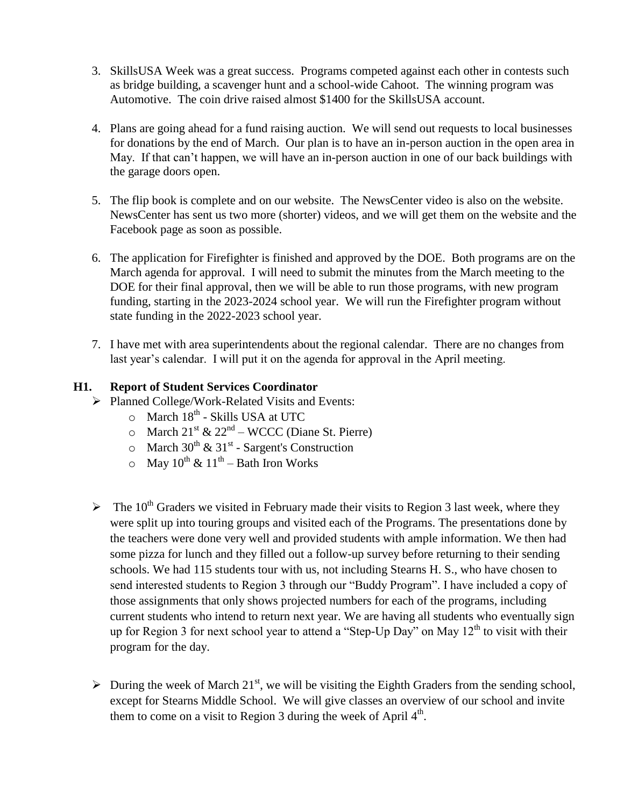- 3. SkillsUSA Week was a great success. Programs competed against each other in contests such as bridge building, a scavenger hunt and a school-wide Cahoot. The winning program was Automotive. The coin drive raised almost \$1400 for the SkillsUSA account.
- 4. Plans are going ahead for a fund raising auction. We will send out requests to local businesses for donations by the end of March. Our plan is to have an in-person auction in the open area in May. If that can't happen, we will have an in-person auction in one of our back buildings with the garage doors open.
- 5. The flip book is complete and on our website. The NewsCenter video is also on the website. NewsCenter has sent us two more (shorter) videos, and we will get them on the website and the Facebook page as soon as possible.
- 6. The application for Firefighter is finished and approved by the DOE. Both programs are on the March agenda for approval. I will need to submit the minutes from the March meeting to the DOE for their final approval, then we will be able to run those programs, with new program funding, starting in the 2023-2024 school year. We will run the Firefighter program without state funding in the 2022-2023 school year.
- 7. I have met with area superintendents about the regional calendar. There are no changes from last year's calendar. I will put it on the agenda for approval in the April meeting.

## **H1. Report of Student Services Coordinator**

- Planned College/Work-Related Visits and Events:
	- o March 18<sup>th</sup> Skills USA at UTC
	- $\circ$  March 21<sup>st</sup> & 22<sup>nd</sup> WCCC (Diane St. Pierre)
	- $\circ$  March 30<sup>th</sup> & 31<sup>st</sup> Sargent's Construction
	- $\circ$  May 10<sup>th</sup> & 11<sup>th</sup> Bath Iron Works
- $\triangleright$  The 10<sup>th</sup> Graders we visited in February made their visits to Region 3 last week, where they were split up into touring groups and visited each of the Programs. The presentations done by the teachers were done very well and provided students with ample information. We then had some pizza for lunch and they filled out a follow-up survey before returning to their sending schools. We had 115 students tour with us, not including Stearns H. S., who have chosen to send interested students to Region 3 through our "Buddy Program". I have included a copy of those assignments that only shows projected numbers for each of the programs, including current students who intend to return next year. We are having all students who eventually sign up for Region 3 for next school year to attend a "Step-Up Day" on May  $12<sup>th</sup>$  to visit with their program for the day.
- $\triangleright$  During the week of March 21<sup>st</sup>, we will be visiting the Eighth Graders from the sending school, except for Stearns Middle School. We will give classes an overview of our school and invite them to come on a visit to Region 3 during the week of April  $4<sup>th</sup>$ .